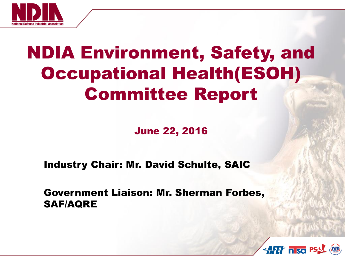

# NDIA Environment, Safety, and Occupational Health(ESOH) Committee Report

June 22, 2016

Industry Chair: Mr. David Schulte, SAIC

Government Liaison: Mr. Sherman Forbes, SAF/AQRE

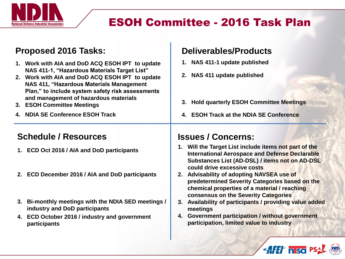

## ESOH Committee - 2016 Task Plan

#### **Proposed 2016 Tasks:**

- **1. Work with AIA and DoD ACQ ESOH IPT to update NAS 411-1, "Hazardous Materials Target List"**
- **2. Work with AIA and DoD ACQ ESOH IPT to update NAS 411, "Hazardous Materials Management Plan," to include system safety risk assessments and management of hazardous materials**
- **3. ESOH Committee Meetings**
- **4. NDIA SE Conference ESOH Track**

#### **Schedule / Resources**

- **1. ECD Oct 2016 / AIA and DoD participants**
- **2. ECD December 2016 / AIA and DoD participants**
- **3. Bi-monthly meetings with the NDIA SED meetings / industry and DoD participants**
- **4. ECD October 2016 / industry and government participants**

#### **Deliverables/Products**

- **1. NAS 411-1 update published**
- **2. NAS 411 update published**
- **3. Hold quarterly ESOH Committee Meetings**
- **4. ESOH Track at the NDIA SE Conference**

#### **Issues / Concerns:**

- **1. Will the Target List include items not part of the International Aerospace and Defense Declarable Substances List (AD-DSL) / items not on AD-DSL could drive excessive costs**
- **2. Advisability of adopting NAVSEA use of predetermined Severity Categories based on the chemical properties of a material / reaching consensus on the Severity Categories**
- **3. Availability of participants / providing value added meetings**
- **4. Government participation / without government participation, limited value to industry**

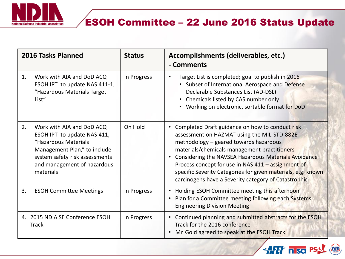

## ESOH Committee – 22 June 2016 Status Update

| 2016 Tasks Planned                              |                                                                                                                                                                                                | <b>Status</b> | Accomplishments (deliverables, etc.)<br>- Comments                                                                                                                                                                                                                                                                                                                                                                               |
|-------------------------------------------------|------------------------------------------------------------------------------------------------------------------------------------------------------------------------------------------------|---------------|----------------------------------------------------------------------------------------------------------------------------------------------------------------------------------------------------------------------------------------------------------------------------------------------------------------------------------------------------------------------------------------------------------------------------------|
| 1.                                              | Work with AIA and DoD ACQ<br>ESOH IPT to update NAS 411-1,<br>"Hazardous Materials Target<br>List"                                                                                             | In Progress   | Target List is completed; goal to publish in 2016<br>Subset of International Aerospace and Defense<br>Declarable Substances List (AD-DSL)<br>• Chemicals listed by CAS number only<br>Working on electronic, sortable format for DoD                                                                                                                                                                                             |
| 2.                                              | Work with AIA and DoD ACQ<br>ESOH IPT to update NAS 411,<br>"Hazardous Materials<br>Management Plan," to include<br>system safety risk assessments<br>and management of hazardous<br>materials | On Hold       | • Completed Draft guidance on how to conduct risk<br>assessment on HAZMAT using the MIL-STD-882E<br>methodology - geared towards hazardous<br>materials/chemicals management practitioners<br>Considering the NAVSEA Hazardous Materials Avoidance<br>Process concept for use in NAS 411 - assignment of<br>specific Severity Categories for given materials, e.g. known<br>carcinogens have a Severity category of Catastrophic |
| 3.                                              | <b>ESOH Committee Meetings</b>                                                                                                                                                                 | In Progress   | Holding ESOH Committee meeting this afternoon<br>$\bullet$<br>Plan for a Committee meeting following each Systems<br>$\bullet$<br><b>Engineering Division Meeting</b>                                                                                                                                                                                                                                                            |
| 4. 2015 NDIA SE Conference ESOH<br><b>Track</b> |                                                                                                                                                                                                | In Progress   | Continued planning and submitted abstracts for the ESOH<br>$\bullet$<br>Track for the 2016 conference<br>Mr. Gold agreed to speak at the ESOH Track<br>$\bullet$                                                                                                                                                                                                                                                                 |

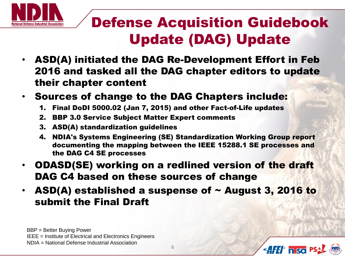

## Defense Acquisition Guidebook Update (DAG) Update

- ASD(A) initiated the DAG Re-Development Effort in Feb 2016 and tasked all the DAG chapter editors to update their chapter content
- Sources of change to the DAG Chapters include:
	- 1. Final DoDI 5000.02 (Jan 7, 2015) and other Fact-of-Life updates
	- 2. BBP 3.0 Service Subject Matter Expert comments
	- 3. ASD(A) standardization guidelines
	- 4. NDIA's Systems Engineering (SE) Standardization Working Group report documenting the mapping between the IEEE 15288.1 SE processes and the DAG C4 SE processes
- ODASD(SE) working on a redlined version of the draft DAG C4 based on these sources of change
- ASD(A) established a suspense of  $\sim$  August 3, 2016 to submit the Final Draft

BBP = Better Buying Power IEEE = Institute of Electrical and Electronics Engineers NDIA = National Defense Industrial Association

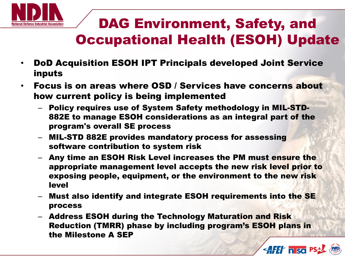

## DAG Environment, Safety, and Occupational Health (ESOH) Update

- DoD Acquisition ESOH IPT Principals developed Joint Service inputs
- Focus is on areas where OSD / Services have concerns about how current policy is being implemented
	- Policy requires use of System Safety methodology in MIL-STD-882E to manage ESOH considerations as an integral part of the program's overall SE process
	- MIL-STD 882E provides mandatory process for assessing software contribution to system risk
	- Any time an ESOH Risk Level increases the PM must ensure the appropriate management level accepts the new risk level prior to exposing people, equipment, or the environment to the new risk level
	- Must also identify and integrate ESOH requirements into the SE process
	- Address ESOH during the Technology Maturation and Risk Reduction (TMRR) phase by including program's ESOH plans in the Milestone A SEP